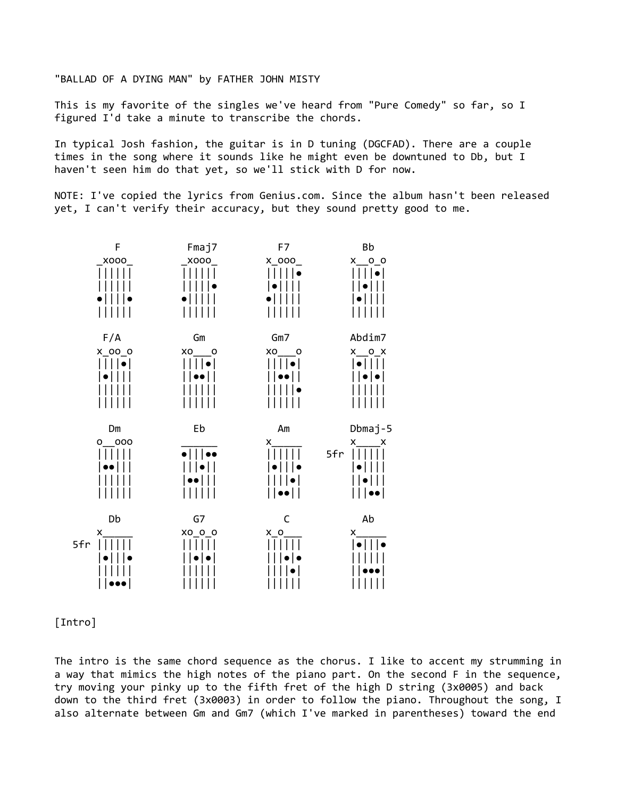"BALLAD OF A DYING MAN" by FATHER JOHN MISTY

This is my favorite of the singles we've heard from "Pure Comedy" so far, so I figured I'd take a minute to transcribe the chords.

In typical Josh fashion, the guitar is in D tuning (DGCFAD). There are a couple times in the song where it sounds like he might even be downtuned to Db, but I haven't seen him do that yet, so we'll stick with D for now.

NOTE: I've copied the lyrics from Genius.com. Since the album hasn't been released yet, I can't verify their accuracy, but they sound pretty good to me.



## [Intro]

The intro is the same chord sequence as the chorus. I like to accent my strumming in a way that mimics the high notes of the piano part. On the second F in the sequence, try moving your pinky up to the fifth fret of the high D string (3x0005) and back down to the third fret (3x0003) in order to follow the piano. Throughout the song, I also alternate between Gm and Gm7 (which I've marked in parentheses) toward the end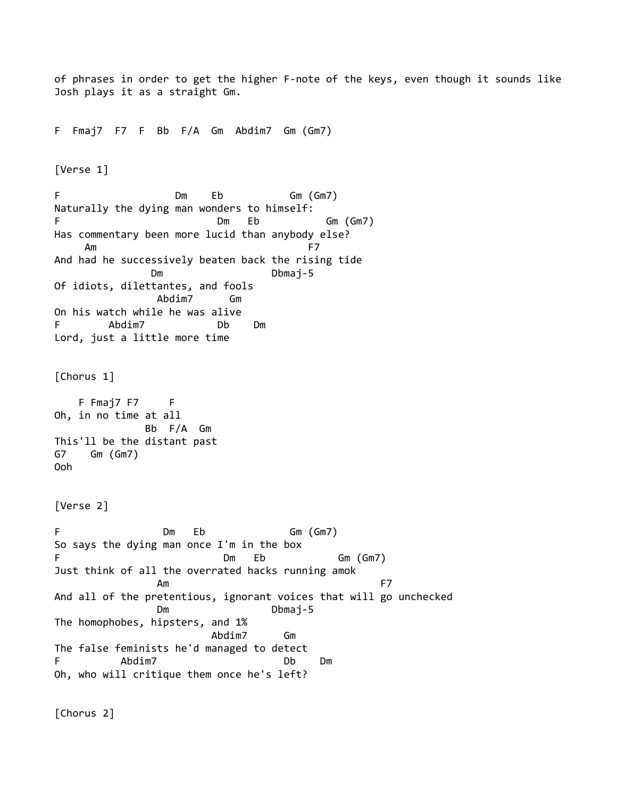```
of phrases in order to get the higher F-note of the keys, even though it sounds like
Josh plays it as a straight Gm.
F Fmaj7 F7 F Bb F/A Gm Abdim7 Gm (Gm7)
[Verse 1]
F Dm Eb Gm (Gm7)
Naturally the dying man wonders to himself:
F Dm Eb Gm (Gm7)
Has commentary been more lucid than anybody else?
Am F7
And had he successively beaten back the rising tide
           Dm Dbmaj-5
Of idiots, dilettantes, and fools
             Abdim7 Gm
On his watch while he was alive
F Abdim7 Db Dm
Lord, just a little more time
[Chorus 1]
   F Fmaj7 F7 F
Oh, in no time at all
            Bb F/A Gm
This'll be the distant past
G7 Gm (Gm7)
Ooh
[Verse 2]
F Dm Eb Gm (Gm7)
So says the dying man once I'm in the box
F Dm Eb Gm (Gm7)
Just think of all the overrated hacks running amok
 Am F7
And all of the pretentious, ignorant voices that will go unchecked
            Dm Dbmaj-5
The homophobes, hipsters, and 1%
                    Abdim7 Gm
The false feminists he'd managed to detect
F Abdim7 Db Dm
Oh, who will critique them once he's left?
[Chorus 2]
```